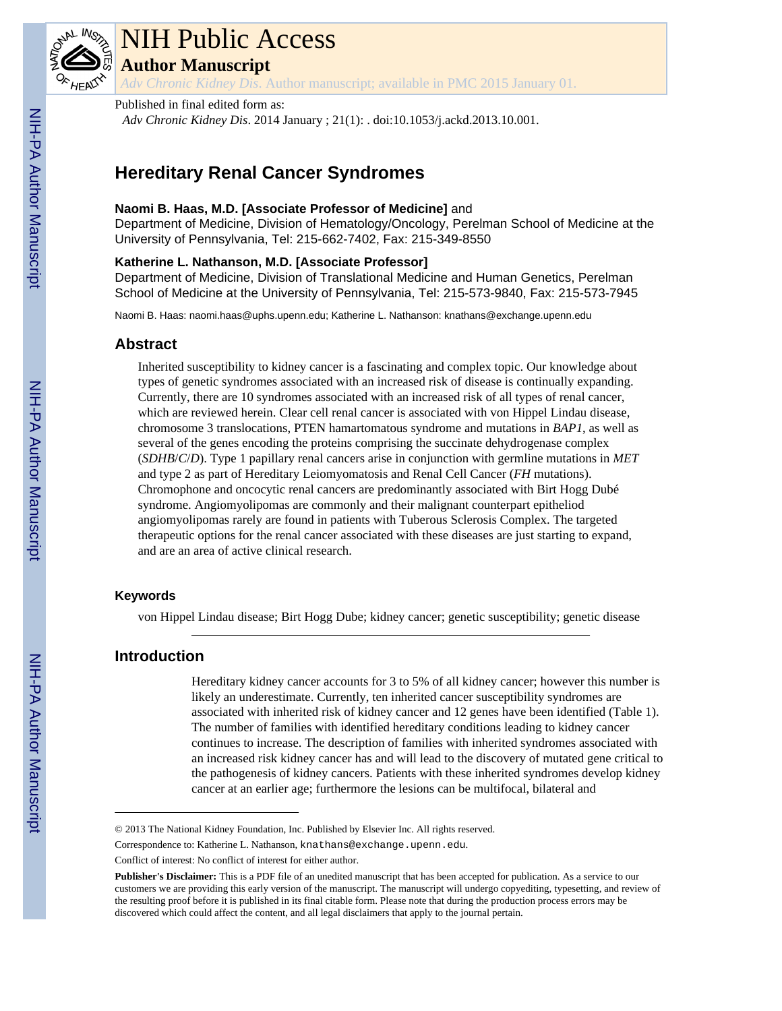

# NIH Public Access

**Author Manuscript**

*Adv Chronic Kidney Dis*. Author manuscript; available in PMC 2015 January 01.

# Published in final edited form as:

*Adv Chronic Kidney Dis*. 2014 January ; 21(1): . doi:10.1053/j.ackd.2013.10.001.

# **Hereditary Renal Cancer Syndromes**

# **Naomi B. Haas, M.D. [Associate Professor of Medicine]** and

Department of Medicine, Division of Hematology/Oncology, Perelman School of Medicine at the University of Pennsylvania, Tel: 215-662-7402, Fax: 215-349-8550

#### **Katherine L. Nathanson, M.D. [Associate Professor]**

Department of Medicine, Division of Translational Medicine and Human Genetics, Perelman School of Medicine at the University of Pennsylvania, Tel: 215-573-9840, Fax: 215-573-7945

Naomi B. Haas: naomi.haas@uphs.upenn.edu; Katherine L. Nathanson: knathans@exchange.upenn.edu

# **Abstract**

Inherited susceptibility to kidney cancer is a fascinating and complex topic. Our knowledge about types of genetic syndromes associated with an increased risk of disease is continually expanding. Currently, there are 10 syndromes associated with an increased risk of all types of renal cancer, which are reviewed herein. Clear cell renal cancer is associated with von Hippel Lindau disease, chromosome 3 translocations, PTEN hamartomatous syndrome and mutations in *BAP1*, as well as several of the genes encoding the proteins comprising the succinate dehydrogenase complex (*SDHB*/*C*/*D*). Type 1 papillary renal cancers arise in conjunction with germline mutations in *MET* and type 2 as part of Hereditary Leiomyomatosis and Renal Cell Cancer (*FH* mutations). Chromophone and oncocytic renal cancers are predominantly associated with Birt Hogg Dubé syndrome. Angiomyolipomas are commonly and their malignant counterpart epitheliod angiomyolipomas rarely are found in patients with Tuberous Sclerosis Complex. The targeted therapeutic options for the renal cancer associated with these diseases are just starting to expand, and are an area of active clinical research.

#### **Keywords**

von Hippel Lindau disease; Birt Hogg Dube; kidney cancer; genetic susceptibility; genetic disease

# **Introduction**

Hereditary kidney cancer accounts for 3 to 5% of all kidney cancer; however this number is likely an underestimate. Currently, ten inherited cancer susceptibility syndromes are associated with inherited risk of kidney cancer and 12 genes have been identified (Table 1). The number of families with identified hereditary conditions leading to kidney cancer continues to increase. The description of families with inherited syndromes associated with an increased risk kidney cancer has and will lead to the discovery of mutated gene critical to the pathogenesis of kidney cancers. Patients with these inherited syndromes develop kidney cancer at an earlier age; furthermore the lesions can be multifocal, bilateral and

<sup>© 2013</sup> The National Kidney Foundation, Inc. Published by Elsevier Inc. All rights reserved.

Correspondence to: Katherine L. Nathanson, knathans@exchange.upenn.edu.

Conflict of interest: No conflict of interest for either author.

**Publisher's Disclaimer:** This is a PDF file of an unedited manuscript that has been accepted for publication. As a service to our customers we are providing this early version of the manuscript. The manuscript will undergo copyediting, typesetting, and review of the resulting proof before it is published in its final citable form. Please note that during the production process errors may be discovered which could affect the content, and all legal disclaimers that apply to the journal pertain.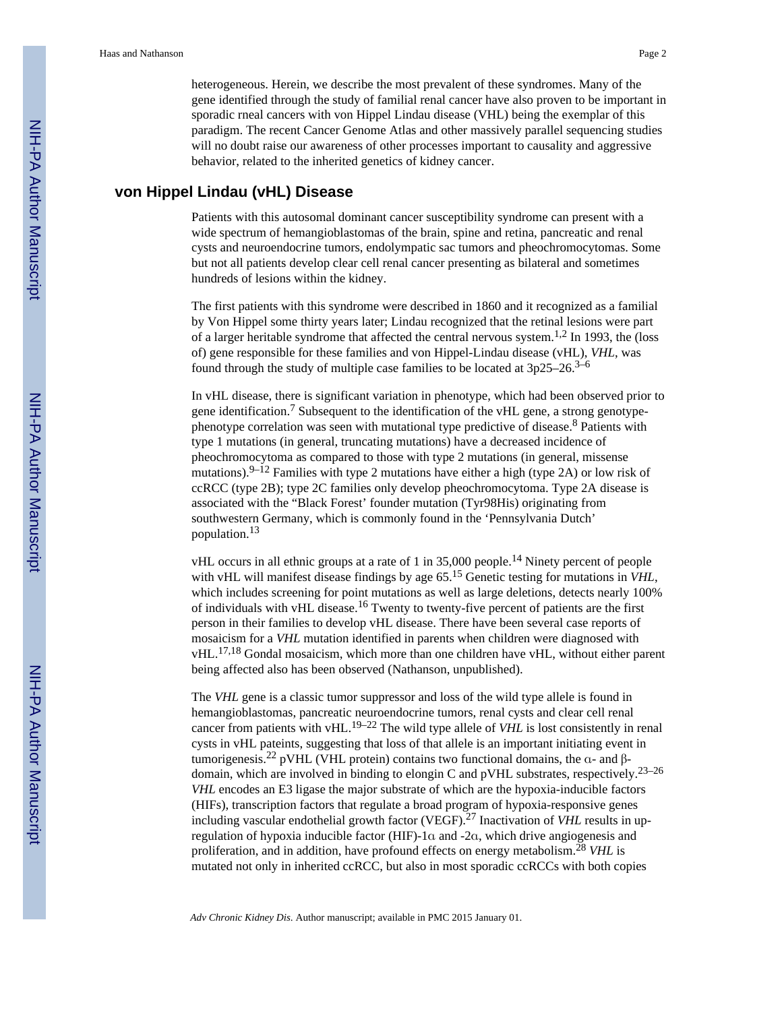heterogeneous. Herein, we describe the most prevalent of these syndromes. Many of the gene identified through the study of familial renal cancer have also proven to be important in sporadic rneal cancers with von Hippel Lindau disease (VHL) being the exemplar of this paradigm. The recent Cancer Genome Atlas and other massively parallel sequencing studies will no doubt raise our awareness of other processes important to causality and aggressive behavior, related to the inherited genetics of kidney cancer.

# **von Hippel Lindau (vHL) Disease**

Patients with this autosomal dominant cancer susceptibility syndrome can present with a wide spectrum of hemangioblastomas of the brain, spine and retina, pancreatic and renal cysts and neuroendocrine tumors, endolympatic sac tumors and pheochromocytomas. Some but not all patients develop clear cell renal cancer presenting as bilateral and sometimes hundreds of lesions within the kidney.

The first patients with this syndrome were described in 1860 and it recognized as a familial by Von Hippel some thirty years later; Lindau recognized that the retinal lesions were part of a larger heritable syndrome that affected the central nervous system.1,2 In 1993, the (loss of) gene responsible for these families and von Hippel-Lindau disease (vHL), *VHL*, was found through the study of multiple case families to be located at  $3p25-26$ .<sup>3–6</sup>

In vHL disease, there is significant variation in phenotype, which had been observed prior to gene identification.<sup>7</sup> Subsequent to the identification of the vHL gene, a strong genotypephenotype correlation was seen with mutational type predictive of disease.<sup>8</sup> Patients with type 1 mutations (in general, truncating mutations) have a decreased incidence of pheochromocytoma as compared to those with type 2 mutations (in general, missense mutations).<sup>9–12</sup> Families with type 2 mutations have either a high (type 2A) or low risk of ccRCC (type 2B); type 2C families only develop pheochromocytoma. Type 2A disease is associated with the "Black Forest' founder mutation (Tyr98His) originating from southwestern Germany, which is commonly found in the 'Pennsylvania Dutch' population.<sup>13</sup>

vHL occurs in all ethnic groups at a rate of 1 in 35,000 people.14 Ninety percent of people with vHL will manifest disease findings by age  $65$ .<sup>15</sup> Genetic testing for mutations in *VHL*, which includes screening for point mutations as well as large deletions, detects nearly 100% of individuals with vHL disease.<sup>16</sup> Twenty to twenty-five percent of patients are the first person in their families to develop vHL disease. There have been several case reports of mosaicism for a *VHL* mutation identified in parents when children were diagnosed with vHL.17,18 Gondal mosaicism, which more than one children have vHL, without either parent being affected also has been observed (Nathanson, unpublished).

The *VHL* gene is a classic tumor suppressor and loss of the wild type allele is found in hemangioblastomas, pancreatic neuroendocrine tumors, renal cysts and clear cell renal cancer from patients with vHL.19–22 The wild type allele of *VHL* is lost consistently in renal cysts in vHL pateints, suggesting that loss of that allele is an important initiating event in tumorigenesis.<sup>22</sup> pVHL (VHL protein) contains two functional domains, the α- and βdomain, which are involved in binding to elongin C and pVHL substrates, respectively.<sup>23–26</sup> *VHL* encodes an E3 ligase the major substrate of which are the hypoxia-inducible factors (HIFs), transcription factors that regulate a broad program of hypoxia-responsive genes including vascular endothelial growth factor (VEGF).27 Inactivation of *VHL* results in upregulation of hypoxia inducible factor (HIF)-1α and -2α, which drive angiogenesis and proliferation, and in addition, have profound effects on energy metabolism.<sup>28</sup> *VHL* is mutated not only in inherited ccRCC, but also in most sporadic ccRCCs with both copies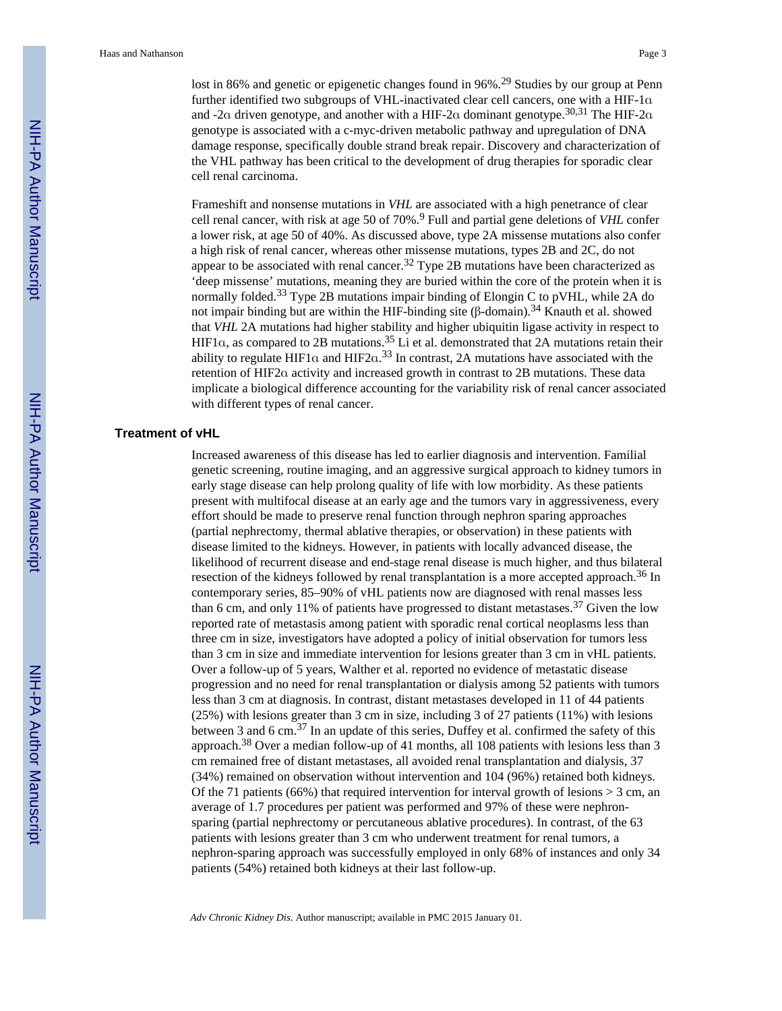lost in 86% and genetic or epigenetic changes found in 96%.<sup>29</sup> Studies by our group at Penn further identified two subgroups of VHL-inactivated clear cell cancers, one with a HIF-1α and -2α driven genotype, and another with a HIF-2α dominant genotype.<sup>30,31</sup> The HIF-2α genotype is associated with a c-myc-driven metabolic pathway and upregulation of DNA damage response, specifically double strand break repair. Discovery and characterization of the VHL pathway has been critical to the development of drug therapies for sporadic clear cell renal carcinoma.

Frameshift and nonsense mutations in *VHL* are associated with a high penetrance of clear cell renal cancer, with risk at age 50 of 70%.<sup>9</sup> Full and partial gene deletions of *VHL* confer a lower risk, at age 50 of 40%. As discussed above, type 2A missense mutations also confer a high risk of renal cancer, whereas other missense mutations, types 2B and 2C, do not appear to be associated with renal cancer.<sup>32</sup> Type 2B mutations have been characterized as 'deep missense' mutations, meaning they are buried within the core of the protein when it is normally folded.<sup>33</sup> Type 2B mutations impair binding of Elongin C to pVHL, while 2A do not impair binding but are within the HIF-binding site  $(β$ -domain).<sup>34</sup> Knauth et al. showed that *VHL* 2A mutations had higher stability and higher ubiquitin ligase activity in respect to HIF1α, as compared to 2B mutations.35 Li et al. demonstrated that 2A mutations retain their ability to regulate HIF1 $\alpha$  and HIF2 $\alpha$ .<sup>33</sup> In contrast, 2A mutations have associated with the retention of HIF2α activity and increased growth in contrast to 2B mutations. These data implicate a biological difference accounting for the variability risk of renal cancer associated with different types of renal cancer.

#### **Treatment of vHL**

Increased awareness of this disease has led to earlier diagnosis and intervention. Familial genetic screening, routine imaging, and an aggressive surgical approach to kidney tumors in early stage disease can help prolong quality of life with low morbidity. As these patients present with multifocal disease at an early age and the tumors vary in aggressiveness, every effort should be made to preserve renal function through nephron sparing approaches (partial nephrectomy, thermal ablative therapies, or observation) in these patients with disease limited to the kidneys. However, in patients with locally advanced disease, the likelihood of recurrent disease and end-stage renal disease is much higher, and thus bilateral resection of the kidneys followed by renal transplantation is a more accepted approach.<sup>36</sup> In contemporary series, 85–90% of vHL patients now are diagnosed with renal masses less than 6 cm, and only 11% of patients have progressed to distant metastases.<sup>37</sup> Given the low reported rate of metastasis among patient with sporadic renal cortical neoplasms less than three cm in size, investigators have adopted a policy of initial observation for tumors less than 3 cm in size and immediate intervention for lesions greater than 3 cm in vHL patients. Over a follow-up of 5 years, Walther et al. reported no evidence of metastatic disease progression and no need for renal transplantation or dialysis among 52 patients with tumors less than 3 cm at diagnosis. In contrast, distant metastases developed in 11 of 44 patients (25%) with lesions greater than 3 cm in size, including 3 of 27 patients (11%) with lesions between 3 and 6 cm.37 In an update of this series, Duffey et al. confirmed the safety of this approach.38 Over a median follow-up of 41 months, all 108 patients with lesions less than 3 cm remained free of distant metastases, all avoided renal transplantation and dialysis, 37 (34%) remained on observation without intervention and 104 (96%) retained both kidneys. Of the 71 patients (66%) that required intervention for interval growth of lesions  $> 3$  cm, an average of 1.7 procedures per patient was performed and 97% of these were nephronsparing (partial nephrectomy or percutaneous ablative procedures). In contrast, of the 63 patients with lesions greater than 3 cm who underwent treatment for renal tumors, a nephron-sparing approach was successfully employed in only 68% of instances and only 34 patients (54%) retained both kidneys at their last follow-up.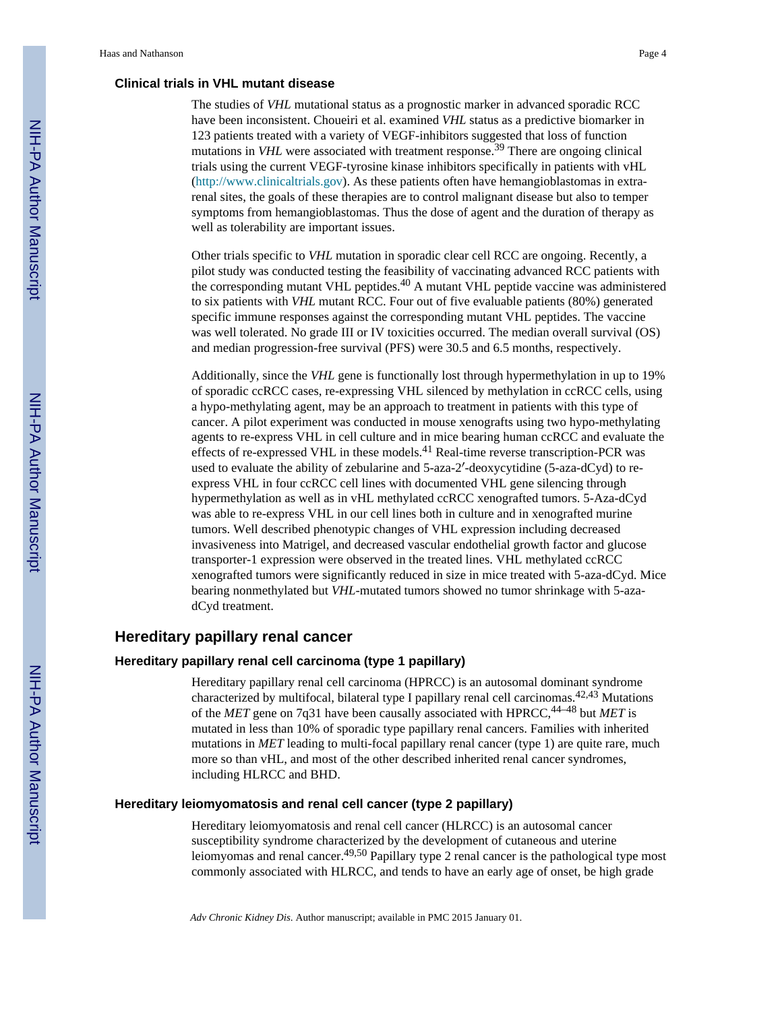#### **Clinical trials in VHL mutant disease**

The studies of *VHL* mutational status as a prognostic marker in advanced sporadic RCC have been inconsistent. Choueiri et al. examined *VHL* status as a predictive biomarker in 123 patients treated with a variety of VEGF-inhibitors suggested that loss of function mutations in *VHL* were associated with treatment response.<sup>39</sup> There are ongoing clinical trials using the current VEGF-tyrosine kinase inhibitors specifically in patients with vHL [\(http://www.clinicaltrials.gov](http://www.clinicaltrials.gov)). As these patients often have hemangioblastomas in extrarenal sites, the goals of these therapies are to control malignant disease but also to temper symptoms from hemangioblastomas. Thus the dose of agent and the duration of therapy as well as tolerability are important issues.

Other trials specific to *VHL* mutation in sporadic clear cell RCC are ongoing. Recently, a pilot study was conducted testing the feasibility of vaccinating advanced RCC patients with the corresponding mutant VHL peptides.40 A mutant VHL peptide vaccine was administered to six patients with *VHL* mutant RCC. Four out of five evaluable patients (80%) generated specific immune responses against the corresponding mutant VHL peptides. The vaccine was well tolerated. No grade III or IV toxicities occurred. The median overall survival (OS) and median progression-free survival (PFS) were 30.5 and 6.5 months, respectively.

Additionally, since the *VHL* gene is functionally lost through hypermethylation in up to 19% of sporadic ccRCC cases, re-expressing VHL silenced by methylation in ccRCC cells, using a hypo-methylating agent, may be an approach to treatment in patients with this type of cancer. A pilot experiment was conducted in mouse xenografts using two hypo-methylating agents to re-express VHL in cell culture and in mice bearing human ccRCC and evaluate the effects of re-expressed VHL in these models.41 Real-time reverse transcription-PCR was used to evaluate the ability of zebularine and 5-aza-2′-deoxycytidine (5-aza-dCyd) to reexpress VHL in four ccRCC cell lines with documented VHL gene silencing through hypermethylation as well as in vHL methylated ccRCC xenografted tumors. 5-Aza-dCyd was able to re-express VHL in our cell lines both in culture and in xenografted murine tumors. Well described phenotypic changes of VHL expression including decreased invasiveness into Matrigel, and decreased vascular endothelial growth factor and glucose transporter-1 expression were observed in the treated lines. VHL methylated ccRCC xenografted tumors were significantly reduced in size in mice treated with 5-aza-dCyd. Mice bearing nonmethylated but *VHL*-mutated tumors showed no tumor shrinkage with 5-azadCyd treatment.

# **Hereditary papillary renal cancer**

#### **Hereditary papillary renal cell carcinoma (type 1 papillary)**

Hereditary papillary renal cell carcinoma (HPRCC) is an autosomal dominant syndrome characterized by multifocal, bilateral type I papillary renal cell carcinomas.  $42,43$  Mutations of the *MET* gene on 7q31 have been causally associated with HPRCC,<sup>44–48</sup> but *MET* is mutated in less than 10% of sporadic type papillary renal cancers. Families with inherited mutations in *MET* leading to multi-focal papillary renal cancer (type 1) are quite rare, much more so than vHL, and most of the other described inherited renal cancer syndromes, including HLRCC and BHD.

#### **Hereditary leiomyomatosis and renal cell cancer (type 2 papillary)**

Hereditary leiomyomatosis and renal cell cancer (HLRCC) is an autosomal cancer susceptibility syndrome characterized by the development of cutaneous and uterine leiomyomas and renal cancer.49,50 Papillary type 2 renal cancer is the pathological type most commonly associated with HLRCC, and tends to have an early age of onset, be high grade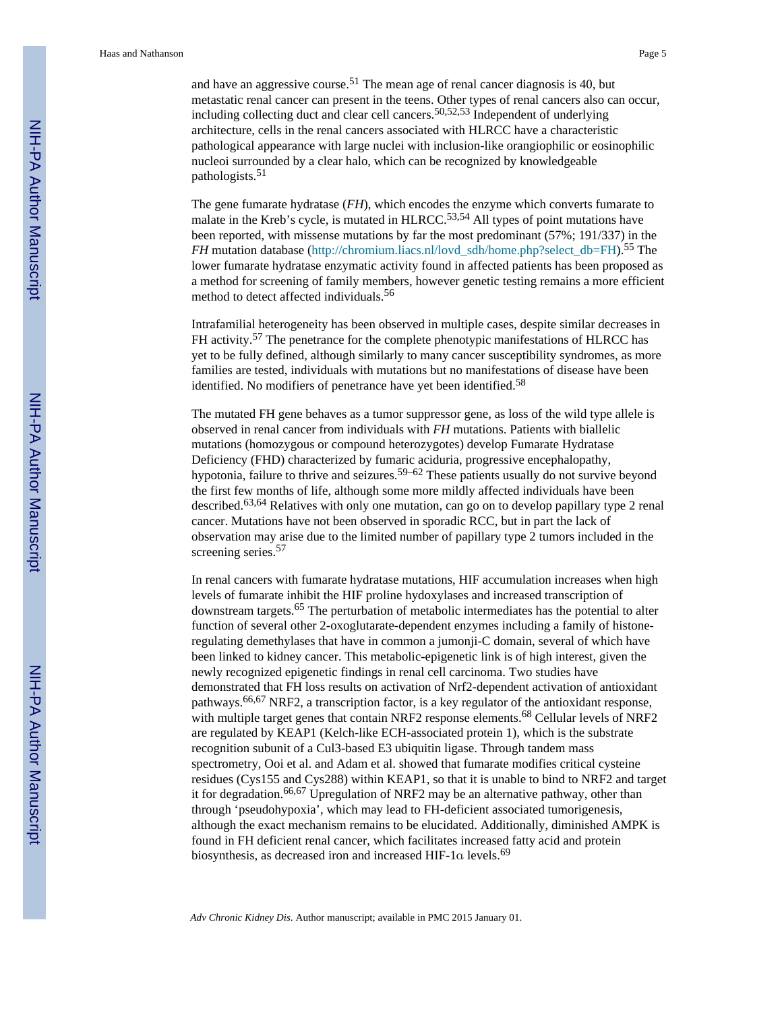and have an aggressive course.<sup>51</sup> The mean age of renal cancer diagnosis is 40, but metastatic renal cancer can present in the teens. Other types of renal cancers also can occur, including collecting duct and clear cell cancers.50,52,53 Independent of underlying architecture, cells in the renal cancers associated with HLRCC have a characteristic pathological appearance with large nuclei with inclusion-like orangiophilic or eosinophilic nucleoi surrounded by a clear halo, which can be recognized by knowledgeable pathologists.<sup>51</sup>

The gene fumarate hydratase (*FH*), which encodes the enzyme which converts fumarate to malate in the Kreb's cycle, is mutated in HLRCC.<sup>53,54</sup> All types of point mutations have been reported, with missense mutations by far the most predominant (57%; 191/337) in the *FH* mutation database (http://chromium.liacs.nl/lovd sdh/home.php?select\_db=FH).<sup>55</sup> The lower fumarate hydratase enzymatic activity found in affected patients has been proposed as a method for screening of family members, however genetic testing remains a more efficient method to detect affected individuals.<sup>56</sup>

Intrafamilial heterogeneity has been observed in multiple cases, despite similar decreases in FH activity.<sup>57</sup> The penetrance for the complete phenotypic manifestations of HLRCC has yet to be fully defined, although similarly to many cancer susceptibility syndromes, as more families are tested, individuals with mutations but no manifestations of disease have been identified. No modifiers of penetrance have yet been identified.<sup>58</sup>

The mutated FH gene behaves as a tumor suppressor gene, as loss of the wild type allele is observed in renal cancer from individuals with *FH* mutations. Patients with biallelic mutations (homozygous or compound heterozygotes) develop Fumarate Hydratase Deficiency (FHD) characterized by fumaric aciduria, progressive encephalopathy, hypotonia, failure to thrive and seizures.<sup>59–62</sup> These patients usually do not survive beyond the first few months of life, although some more mildly affected individuals have been described.<sup>63,64</sup> Relatives with only one mutation, can go on to develop papillary type 2 renal cancer. Mutations have not been observed in sporadic RCC, but in part the lack of observation may arise due to the limited number of papillary type 2 tumors included in the screening series.<sup>57</sup>

In renal cancers with fumarate hydratase mutations, HIF accumulation increases when high levels of fumarate inhibit the HIF proline hydoxylases and increased transcription of downstream targets.65 The perturbation of metabolic intermediates has the potential to alter function of several other 2-oxoglutarate-dependent enzymes including a family of histoneregulating demethylases that have in common a jumonji-C domain, several of which have been linked to kidney cancer. This metabolic-epigenetic link is of high interest, given the newly recognized epigenetic findings in renal cell carcinoma. Two studies have demonstrated that FH loss results on activation of Nrf2-dependent activation of antioxidant pathways.<sup>66,67</sup> NRF2, a transcription factor, is a key regulator of the antioxidant response, with multiple target genes that contain NRF2 response elements.<sup>68</sup> Cellular levels of NRF2 are regulated by KEAP1 (Kelch-like ECH-associated protein 1), which is the substrate recognition subunit of a Cul3-based E3 ubiquitin ligase. Through tandem mass spectrometry, Ooi et al. and Adam et al. showed that fumarate modifies critical cysteine residues (Cys155 and Cys288) within KEAP1, so that it is unable to bind to NRF2 and target it for degradation.<sup>66,67</sup> Upregulation of NRF2 may be an alternative pathway, other than through 'pseudohypoxia', which may lead to FH-deficient associated tumorigenesis, although the exact mechanism remains to be elucidated. Additionally, diminished AMPK is found in FH deficient renal cancer, which facilitates increased fatty acid and protein biosynthesis, as decreased iron and increased HIF-1α levels.<sup>69</sup>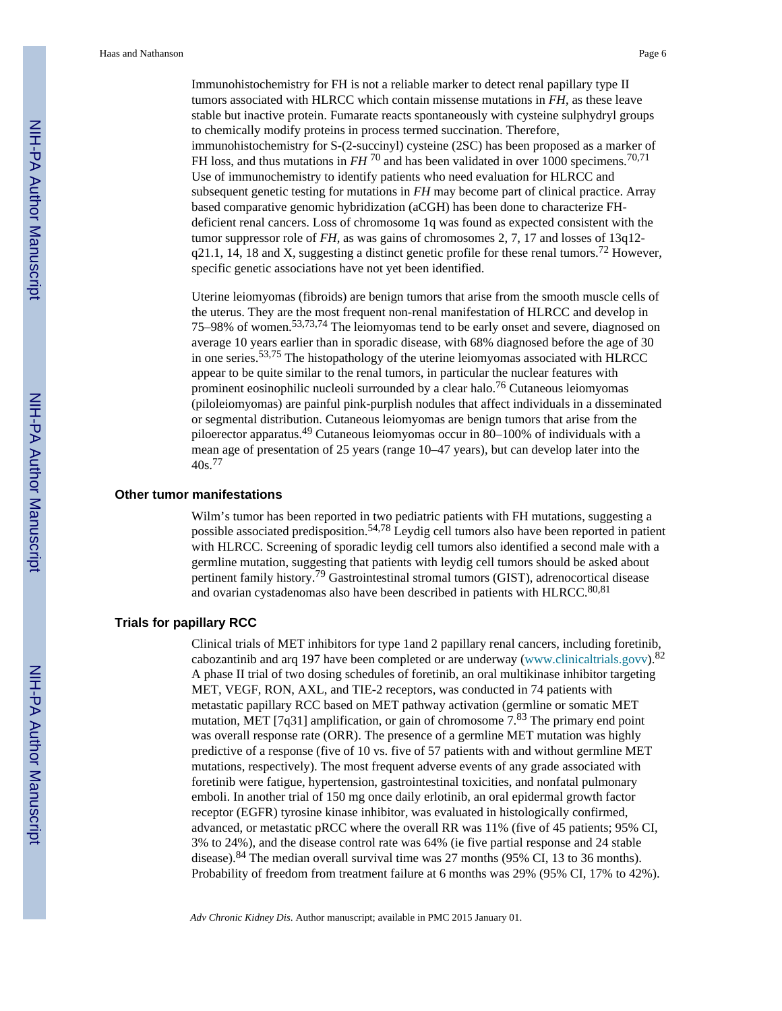Immunohistochemistry for FH is not a reliable marker to detect renal papillary type II tumors associated with HLRCC which contain missense mutations in *FH*, as these leave stable but inactive protein. Fumarate reacts spontaneously with cysteine sulphydryl groups to chemically modify proteins in process termed succination. Therefore, immunohistochemistry for S-(2-succinyl) cysteine (2SC) has been proposed as a marker of FH loss, and thus mutations in *FH*<sup>70</sup> and has been validated in over 1000 specimens.<sup>70,71</sup> Use of immunochemistry to identify patients who need evaluation for HLRCC and subsequent genetic testing for mutations in *FH* may become part of clinical practice. Array based comparative genomic hybridization (aCGH) has been done to characterize FHdeficient renal cancers. Loss of chromosome 1q was found as expected consistent with the tumor suppressor role of *FH*, as was gains of chromosomes 2, 7, 17 and losses of 13q12  $q21.1$ , 14, 18 and X, suggesting a distinct genetic profile for these renal tumors.<sup>72</sup> However, specific genetic associations have not yet been identified.

Uterine leiomyomas (fibroids) are benign tumors that arise from the smooth muscle cells of the uterus. They are the most frequent non-renal manifestation of HLRCC and develop in 75–98% of women.53,73,74 The leiomyomas tend to be early onset and severe, diagnosed on average 10 years earlier than in sporadic disease, with 68% diagnosed before the age of 30 in one series.53,75 The histopathology of the uterine leiomyomas associated with HLRCC appear to be quite similar to the renal tumors, in particular the nuclear features with prominent eosinophilic nucleoli surrounded by a clear halo.76 Cutaneous leiomyomas (piloleiomyomas) are painful pink-purplish nodules that affect individuals in a disseminated or segmental distribution. Cutaneous leiomyomas are benign tumors that arise from the piloerector apparatus.49 Cutaneous leiomyomas occur in 80–100% of individuals with a mean age of presentation of 25 years (range 10–47 years), but can develop later into the 40s.<sup>77</sup>

#### **Other tumor manifestations**

Wilm's tumor has been reported in two pediatric patients with FH mutations, suggesting a possible associated predisposition.54,78 Leydig cell tumors also have been reported in patient with HLRCC. Screening of sporadic leydig cell tumors also identified a second male with a germline mutation, suggesting that patients with leydig cell tumors should be asked about pertinent family history.79 Gastrointestinal stromal tumors (GIST), adrenocortical disease and ovarian cystadenomas also have been described in patients with HLRCC. $80,81$ 

#### **Trials for papillary RCC**

Clinical trials of MET inhibitors for type 1and 2 papillary renal cancers, including foretinib, cabozantinib and arq 197 have been completed or are underway (www.clinicaltrials.govv).<sup>82</sup> A phase II trial of two dosing schedules of foretinib, an oral multikinase inhibitor targeting MET, VEGF, RON, AXL, and TIE-2 receptors, was conducted in 74 patients with metastatic papillary RCC based on MET pathway activation (germline or somatic MET mutation, MET [7q31] amplification, or gain of chromosome  $7^{83}$ . The primary end point was overall response rate (ORR). The presence of a germline MET mutation was highly predictive of a response (five of 10 vs. five of 57 patients with and without germline MET mutations, respectively). The most frequent adverse events of any grade associated with foretinib were fatigue, hypertension, gastrointestinal toxicities, and nonfatal pulmonary emboli. In another trial of 150 mg once daily erlotinib, an oral epidermal growth factor receptor (EGFR) tyrosine kinase inhibitor, was evaluated in histologically confirmed, advanced, or metastatic pRCC where the overall RR was 11% (five of 45 patients; 95% CI, 3% to 24%), and the disease control rate was 64% (ie five partial response and 24 stable disease).84 The median overall survival time was 27 months (95% CI, 13 to 36 months). Probability of freedom from treatment failure at 6 months was 29% (95% CI, 17% to 42%).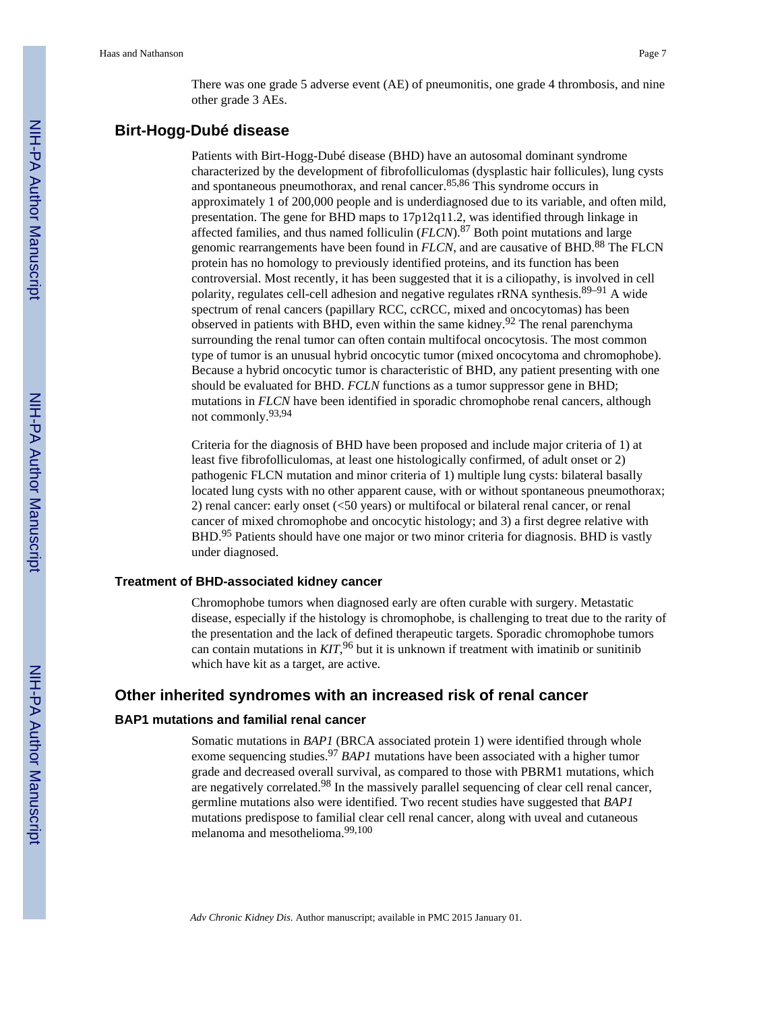There was one grade 5 adverse event (AE) of pneumonitis, one grade 4 thrombosis, and nine other grade 3 AEs.

# **Birt-Hogg-Dubé disease**

Patients with Birt-Hogg-Dubé disease (BHD) have an autosomal dominant syndrome characterized by the development of fibrofolliculomas (dysplastic hair follicules), lung cysts and spontaneous pneumothorax, and renal cancer.85,86 This syndrome occurs in approximately 1 of 200,000 people and is underdiagnosed due to its variable, and often mild, presentation. The gene for BHD maps to 17p12q11.2, was identified through linkage in affected families, and thus named folliculin (*FLCN*).87 Both point mutations and large genomic rearrangements have been found in *FLCN*, and are causative of BHD.<sup>88</sup> The FLCN protein has no homology to previously identified proteins, and its function has been controversial. Most recently, it has been suggested that it is a ciliopathy, is involved in cell polarity, regulates cell-cell adhesion and negative regulates rRNA synthesis. $89-91$  A wide spectrum of renal cancers (papillary RCC, ccRCC, mixed and oncocytomas) has been observed in patients with BHD, even within the same kidney.<sup>92</sup> The renal parenchyma surrounding the renal tumor can often contain multifocal oncocytosis. The most common type of tumor is an unusual hybrid oncocytic tumor (mixed oncocytoma and chromophobe). Because a hybrid oncocytic tumor is characteristic of BHD, any patient presenting with one should be evaluated for BHD. *FCLN* functions as a tumor suppressor gene in BHD; mutations in *FLCN* have been identified in sporadic chromophobe renal cancers, although not commonly.93,94

Criteria for the diagnosis of BHD have been proposed and include major criteria of 1) at least five fibrofolliculomas, at least one histologically confirmed, of adult onset or 2) pathogenic FLCN mutation and minor criteria of 1) multiple lung cysts: bilateral basally located lung cysts with no other apparent cause, with or without spontaneous pneumothorax; 2) renal cancer: early onset (<50 years) or multifocal or bilateral renal cancer, or renal cancer of mixed chromophobe and oncocytic histology; and 3) a first degree relative with BHD.<sup>95</sup> Patients should have one major or two minor criteria for diagnosis. BHD is vastly under diagnosed.

#### **Treatment of BHD-associated kidney cancer**

Chromophobe tumors when diagnosed early are often curable with surgery. Metastatic disease, especially if the histology is chromophobe, is challenging to treat due to the rarity of the presentation and the lack of defined therapeutic targets. Sporadic chromophobe tumors can contain mutations in *KIT*, <sup>96</sup> but it is unknown if treatment with imatinib or sunitinib which have kit as a target, are active.

# **Other inherited syndromes with an increased risk of renal cancer**

#### **BAP1 mutations and familial renal cancer**

Somatic mutations in *BAP1* (BRCA associated protein 1) were identified through whole exome sequencing studies.<sup>97</sup> *BAP1* mutations have been associated with a higher tumor grade and decreased overall survival, as compared to those with PBRM1 mutations, which are negatively correlated.<sup>98</sup> In the massively parallel sequencing of clear cell renal cancer, germline mutations also were identified. Two recent studies have suggested that *BAP1* mutations predispose to familial clear cell renal cancer, along with uveal and cutaneous melanoma and mesothelioma.99,100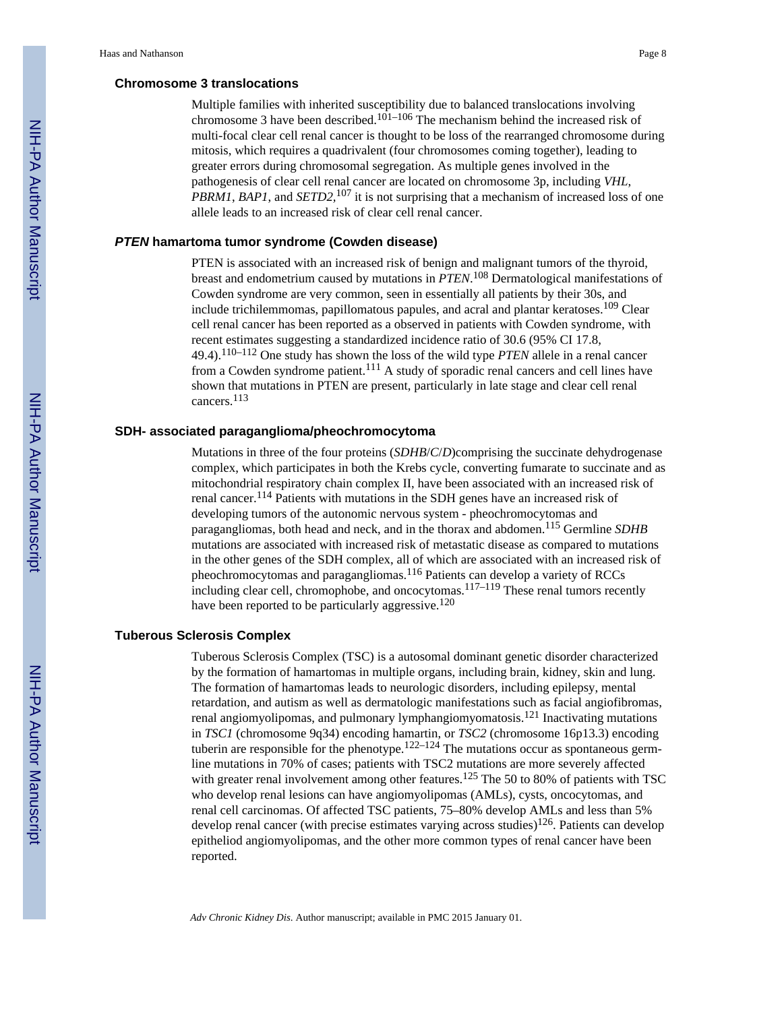#### **Chromosome 3 translocations**

Multiple families with inherited susceptibility due to balanced translocations involving chromosome 3 have been described.<sup>101–106</sup> The mechanism behind the increased risk of multi-focal clear cell renal cancer is thought to be loss of the rearranged chromosome during mitosis, which requires a quadrivalent (four chromosomes coming together), leading to greater errors during chromosomal segregation. As multiple genes involved in the pathogenesis of clear cell renal cancer are located on chromosome 3p, including *VHL*, *PBRM1*, *BAP1*, and *SETD2,*107 it is not surprising that a mechanism of increased loss of one allele leads to an increased risk of clear cell renal cancer.

#### *PTEN* **hamartoma tumor syndrome (Cowden disease)**

PTEN is associated with an increased risk of benign and malignant tumors of the thyroid, breast and endometrium caused by mutations in *PTEN*. <sup>108</sup> Dermatological manifestations of Cowden syndrome are very common, seen in essentially all patients by their 30s, and include trichilemmomas, papillomatous papules, and acral and plantar keratoses.<sup>109</sup> Clear cell renal cancer has been reported as a observed in patients with Cowden syndrome, with recent estimates suggesting a standardized incidence ratio of 30.6 (95% CI 17.8, 49.4).110–112 One study has shown the loss of the wild type *PTEN* allele in a renal cancer from a Cowden syndrome patient.<sup>111</sup> A study of sporadic renal cancers and cell lines have shown that mutations in PTEN are present, particularly in late stage and clear cell renal cancers.<sup>113</sup>

#### **SDH- associated paraganglioma/pheochromocytoma**

Mutations in three of the four proteins (*SDHB*/*C*/*D*)comprising the succinate dehydrogenase complex, which participates in both the Krebs cycle, converting fumarate to succinate and as mitochondrial respiratory chain complex II, have been associated with an increased risk of renal cancer.114 Patients with mutations in the SDH genes have an increased risk of developing tumors of the autonomic nervous system - pheochromocytomas and paragangliomas, both head and neck, and in the thorax and abdomen.115 Germline *SDHB* mutations are associated with increased risk of metastatic disease as compared to mutations in the other genes of the SDH complex, all of which are associated with an increased risk of pheochromocytomas and paragangliomas.116 Patients can develop a variety of RCCs including clear cell, chromophobe, and oncocytomas.<sup>117–119</sup> These renal tumors recently have been reported to be particularly aggressive.<sup>120</sup>

#### **Tuberous Sclerosis Complex**

Tuberous Sclerosis Complex (TSC) is a autosomal dominant genetic disorder characterized by the formation of hamartomas in multiple organs, including brain, kidney, skin and lung. The formation of hamartomas leads to neurologic disorders, including epilepsy, mental retardation, and autism as well as dermatologic manifestations such as facial angiofibromas, renal angiomyolipomas, and pulmonary lymphangiomyomatosis.121 Inactivating mutations in *TSC1* (chromosome 9q34) encoding hamartin, or *TSC2* (chromosome 16p13.3) encoding tuberin are responsible for the phenotype.<sup>122–124</sup> The mutations occur as spontaneous germline mutations in 70% of cases; patients with TSC2 mutations are more severely affected with greater renal involvement among other features.<sup>125</sup> The 50 to 80% of patients with TSC who develop renal lesions can have angiomyolipomas (AMLs), cysts, oncocytomas, and renal cell carcinomas. Of affected TSC patients, 75–80% develop AMLs and less than 5% develop renal cancer (with precise estimates varying across studies)<sup>126</sup>. Patients can develop epitheliod angiomyolipomas, and the other more common types of renal cancer have been reported.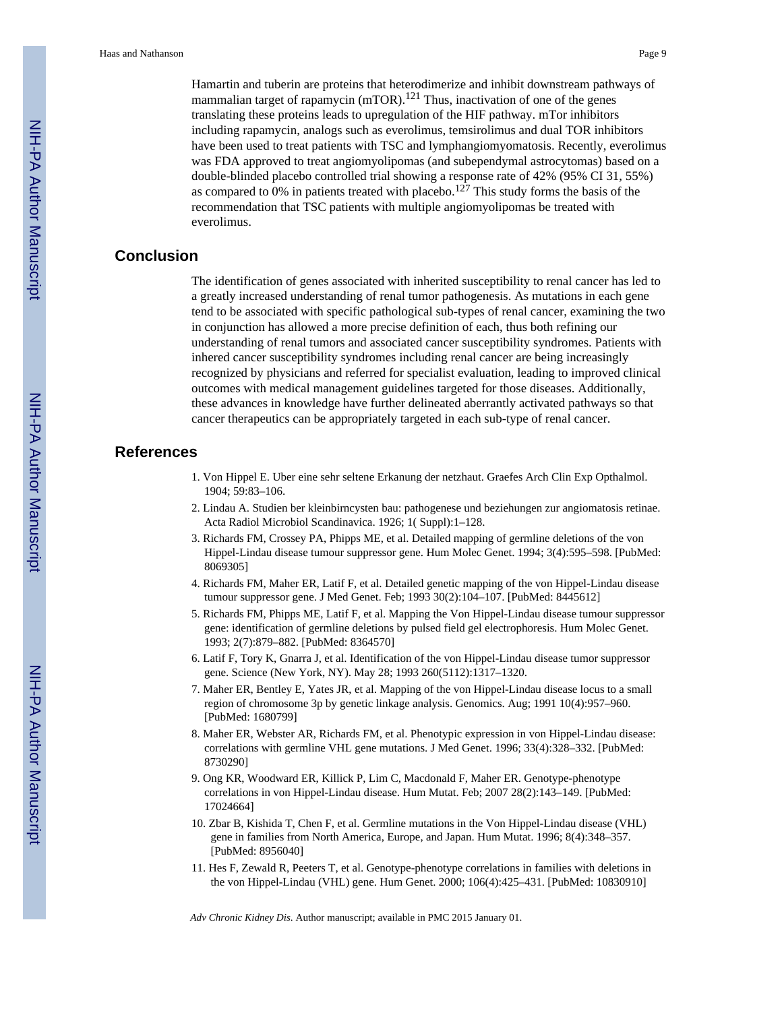Hamartin and tuberin are proteins that heterodimerize and inhibit downstream pathways of mammalian target of rapamycin  $(mTOR)$ .<sup>121</sup> Thus, inactivation of one of the genes translating these proteins leads to upregulation of the HIF pathway. mTor inhibitors including rapamycin, analogs such as everolimus, temsirolimus and dual TOR inhibitors have been used to treat patients with TSC and lymphangiomyomatosis. Recently, everolimus was FDA approved to treat angiomyolipomas (and subependymal astrocytomas) based on a double-blinded placebo controlled trial showing a response rate of 42% (95% CI 31, 55%) as compared to 0% in patients treated with placebo.<sup>127</sup> This study forms the basis of the recommendation that TSC patients with multiple angiomyolipomas be treated with everolimus.

# **Conclusion**

The identification of genes associated with inherited susceptibility to renal cancer has led to a greatly increased understanding of renal tumor pathogenesis. As mutations in each gene tend to be associated with specific pathological sub-types of renal cancer, examining the two in conjunction has allowed a more precise definition of each, thus both refining our understanding of renal tumors and associated cancer susceptibility syndromes. Patients with inhered cancer susceptibility syndromes including renal cancer are being increasingly recognized by physicians and referred for specialist evaluation, leading to improved clinical outcomes with medical management guidelines targeted for those diseases. Additionally, these advances in knowledge have further delineated aberrantly activated pathways so that cancer therapeutics can be appropriately targeted in each sub-type of renal cancer.

# **References**

- 1. Von Hippel E. Uber eine sehr seltene Erkanung der netzhaut. Graefes Arch Clin Exp Opthalmol. 1904; 59:83–106.
- 2. Lindau A. Studien ber kleinbirncysten bau: pathogenese und beziehungen zur angiomatosis retinae. Acta Radiol Microbiol Scandinavica. 1926; 1( Suppl):1–128.
- 3. Richards FM, Crossey PA, Phipps ME, et al. Detailed mapping of germline deletions of the von Hippel-Lindau disease tumour suppressor gene. Hum Molec Genet. 1994; 3(4):595–598. [PubMed: 8069305]
- 4. Richards FM, Maher ER, Latif F, et al. Detailed genetic mapping of the von Hippel-Lindau disease tumour suppressor gene. J Med Genet. Feb; 1993 30(2):104–107. [PubMed: 8445612]
- 5. Richards FM, Phipps ME, Latif F, et al. Mapping the Von Hippel-Lindau disease tumour suppressor gene: identification of germline deletions by pulsed field gel electrophoresis. Hum Molec Genet. 1993; 2(7):879–882. [PubMed: 8364570]
- 6. Latif F, Tory K, Gnarra J, et al. Identification of the von Hippel-Lindau disease tumor suppressor gene. Science (New York, NY). May 28; 1993 260(5112):1317–1320.
- 7. Maher ER, Bentley E, Yates JR, et al. Mapping of the von Hippel-Lindau disease locus to a small region of chromosome 3p by genetic linkage analysis. Genomics. Aug; 1991 10(4):957–960. [PubMed: 1680799]
- 8. Maher ER, Webster AR, Richards FM, et al. Phenotypic expression in von Hippel-Lindau disease: correlations with germline VHL gene mutations. J Med Genet. 1996; 33(4):328–332. [PubMed: 8730290]
- 9. Ong KR, Woodward ER, Killick P, Lim C, Macdonald F, Maher ER. Genotype-phenotype correlations in von Hippel-Lindau disease. Hum Mutat. Feb; 2007 28(2):143–149. [PubMed: 17024664]
- 10. Zbar B, Kishida T, Chen F, et al. Germline mutations in the Von Hippel-Lindau disease (VHL) gene in families from North America, Europe, and Japan. Hum Mutat. 1996; 8(4):348–357. [PubMed: 8956040]
- 11. Hes F, Zewald R, Peeters T, et al. Genotype-phenotype correlations in families with deletions in the von Hippel-Lindau (VHL) gene. Hum Genet. 2000; 106(4):425–431. [PubMed: 10830910]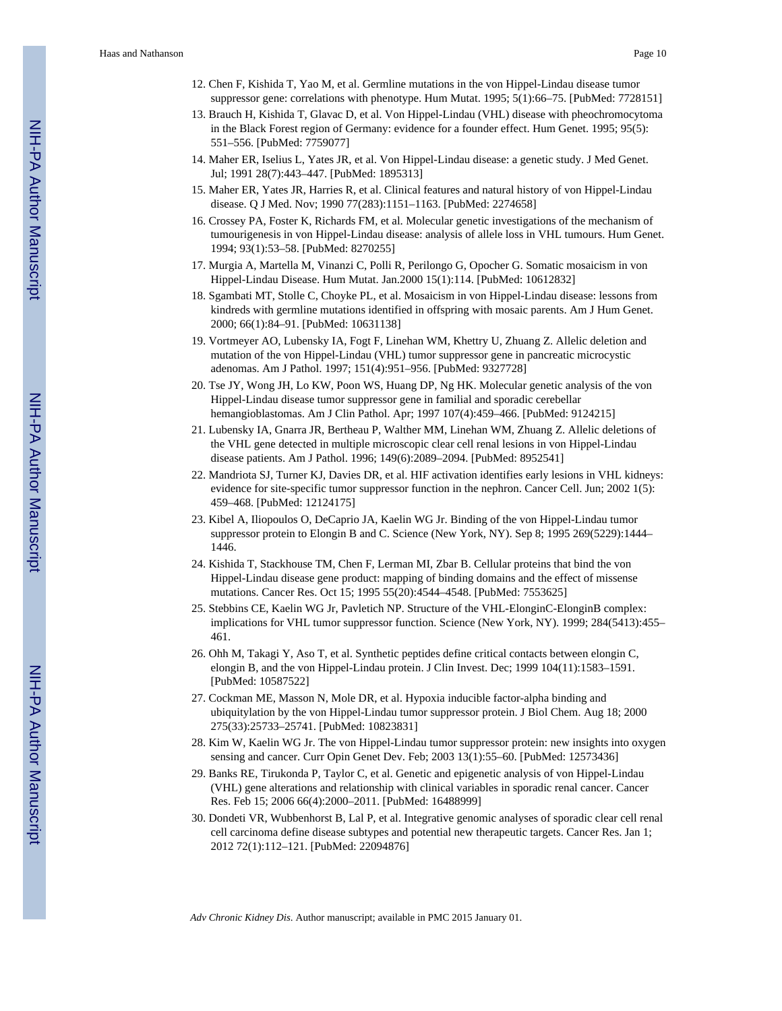- 12. Chen F, Kishida T, Yao M, et al. Germline mutations in the von Hippel-Lindau disease tumor suppressor gene: correlations with phenotype. Hum Mutat. 1995; 5(1):66–75. [PubMed: 7728151]
- 13. Brauch H, Kishida T, Glavac D, et al. Von Hippel-Lindau (VHL) disease with pheochromocytoma in the Black Forest region of Germany: evidence for a founder effect. Hum Genet. 1995; 95(5): 551–556. [PubMed: 7759077]
- 14. Maher ER, Iselius L, Yates JR, et al. Von Hippel-Lindau disease: a genetic study. J Med Genet. Jul; 1991 28(7):443–447. [PubMed: 1895313]
- 15. Maher ER, Yates JR, Harries R, et al. Clinical features and natural history of von Hippel-Lindau disease. Q J Med. Nov; 1990 77(283):1151–1163. [PubMed: 2274658]
- 16. Crossey PA, Foster K, Richards FM, et al. Molecular genetic investigations of the mechanism of tumourigenesis in von Hippel-Lindau disease: analysis of allele loss in VHL tumours. Hum Genet. 1994; 93(1):53–58. [PubMed: 8270255]
- 17. Murgia A, Martella M, Vinanzi C, Polli R, Perilongo G, Opocher G. Somatic mosaicism in von Hippel-Lindau Disease. Hum Mutat. Jan.2000 15(1):114. [PubMed: 10612832]
- 18. Sgambati MT, Stolle C, Choyke PL, et al. Mosaicism in von Hippel-Lindau disease: lessons from kindreds with germline mutations identified in offspring with mosaic parents. Am J Hum Genet. 2000; 66(1):84–91. [PubMed: 10631138]
- 19. Vortmeyer AO, Lubensky IA, Fogt F, Linehan WM, Khettry U, Zhuang Z. Allelic deletion and mutation of the von Hippel-Lindau (VHL) tumor suppressor gene in pancreatic microcystic adenomas. Am J Pathol. 1997; 151(4):951–956. [PubMed: 9327728]
- 20. Tse JY, Wong JH, Lo KW, Poon WS, Huang DP, Ng HK. Molecular genetic analysis of the von Hippel-Lindau disease tumor suppressor gene in familial and sporadic cerebellar hemangioblastomas. Am J Clin Pathol. Apr; 1997 107(4):459–466. [PubMed: 9124215]
- 21. Lubensky IA, Gnarra JR, Bertheau P, Walther MM, Linehan WM, Zhuang Z. Allelic deletions of the VHL gene detected in multiple microscopic clear cell renal lesions in von Hippel-Lindau disease patients. Am J Pathol. 1996; 149(6):2089–2094. [PubMed: 8952541]
- 22. Mandriota SJ, Turner KJ, Davies DR, et al. HIF activation identifies early lesions in VHL kidneys: evidence for site-specific tumor suppressor function in the nephron. Cancer Cell. Jun; 2002 1(5): 459–468. [PubMed: 12124175]
- 23. Kibel A, Iliopoulos O, DeCaprio JA, Kaelin WG Jr. Binding of the von Hippel-Lindau tumor suppressor protein to Elongin B and C. Science (New York, NY). Sep 8; 1995 269(5229):1444– 1446.
- 24. Kishida T, Stackhouse TM, Chen F, Lerman MI, Zbar B. Cellular proteins that bind the von Hippel-Lindau disease gene product: mapping of binding domains and the effect of missense mutations. Cancer Res. Oct 15; 1995 55(20):4544–4548. [PubMed: 7553625]
- 25. Stebbins CE, Kaelin WG Jr, Pavletich NP. Structure of the VHL-ElonginC-ElonginB complex: implications for VHL tumor suppressor function. Science (New York, NY). 1999; 284(5413):455– 461.
- 26. Ohh M, Takagi Y, Aso T, et al. Synthetic peptides define critical contacts between elongin C, elongin B, and the von Hippel-Lindau protein. J Clin Invest. Dec; 1999 104(11):1583–1591. [PubMed: 10587522]
- 27. Cockman ME, Masson N, Mole DR, et al. Hypoxia inducible factor-alpha binding and ubiquitylation by the von Hippel-Lindau tumor suppressor protein. J Biol Chem. Aug 18; 2000 275(33):25733–25741. [PubMed: 10823831]
- 28. Kim W, Kaelin WG Jr. The von Hippel-Lindau tumor suppressor protein: new insights into oxygen sensing and cancer. Curr Opin Genet Dev. Feb; 2003 13(1):55–60. [PubMed: 12573436]
- 29. Banks RE, Tirukonda P, Taylor C, et al. Genetic and epigenetic analysis of von Hippel-Lindau (VHL) gene alterations and relationship with clinical variables in sporadic renal cancer. Cancer Res. Feb 15; 2006 66(4):2000–2011. [PubMed: 16488999]
- 30. Dondeti VR, Wubbenhorst B, Lal P, et al. Integrative genomic analyses of sporadic clear cell renal cell carcinoma define disease subtypes and potential new therapeutic targets. Cancer Res. Jan 1; 2012 72(1):112–121. [PubMed: 22094876]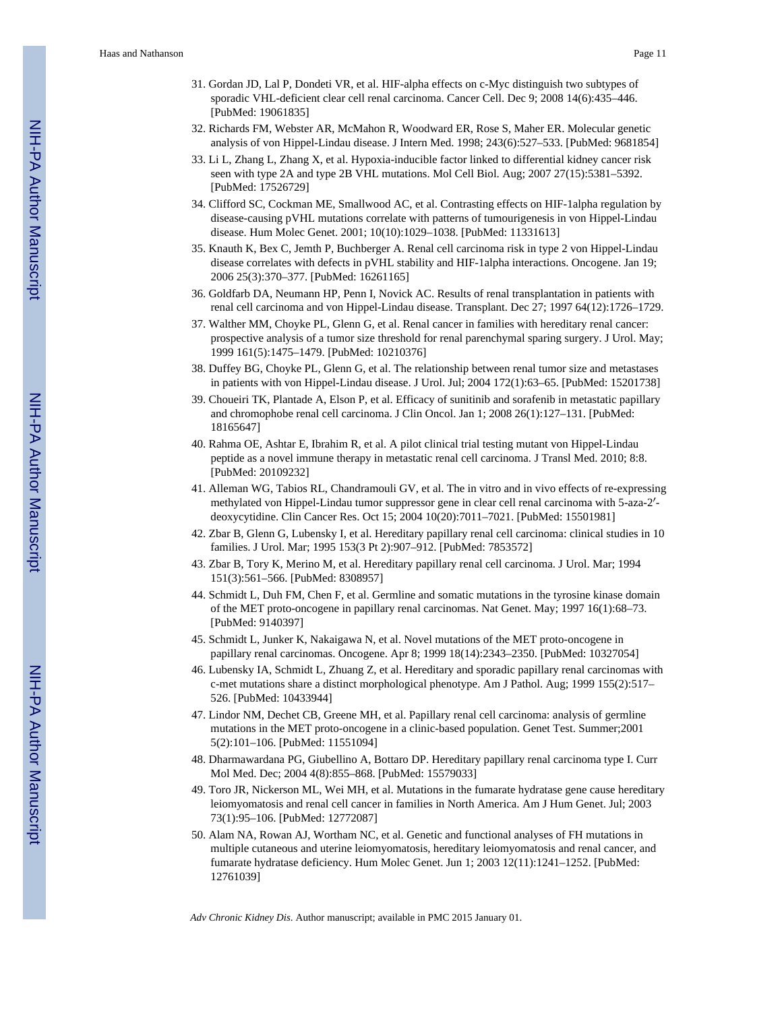- 31. Gordan JD, Lal P, Dondeti VR, et al. HIF-alpha effects on c-Myc distinguish two subtypes of sporadic VHL-deficient clear cell renal carcinoma. Cancer Cell. Dec 9; 2008 14(6):435–446. [PubMed: 19061835]
- 32. Richards FM, Webster AR, McMahon R, Woodward ER, Rose S, Maher ER. Molecular genetic analysis of von Hippel-Lindau disease. J Intern Med. 1998; 243(6):527–533. [PubMed: 9681854]
- 33. Li L, Zhang L, Zhang X, et al. Hypoxia-inducible factor linked to differential kidney cancer risk seen with type 2A and type 2B VHL mutations. Mol Cell Biol. Aug; 2007 27(15):5381–5392. [PubMed: 17526729]
- 34. Clifford SC, Cockman ME, Smallwood AC, et al. Contrasting effects on HIF-1alpha regulation by disease-causing pVHL mutations correlate with patterns of tumourigenesis in von Hippel-Lindau disease. Hum Molec Genet. 2001; 10(10):1029–1038. [PubMed: 11331613]
- 35. Knauth K, Bex C, Jemth P, Buchberger A. Renal cell carcinoma risk in type 2 von Hippel-Lindau disease correlates with defects in pVHL stability and HIF-1alpha interactions. Oncogene. Jan 19; 2006 25(3):370–377. [PubMed: 16261165]
- 36. Goldfarb DA, Neumann HP, Penn I, Novick AC. Results of renal transplantation in patients with renal cell carcinoma and von Hippel-Lindau disease. Transplant. Dec 27; 1997 64(12):1726–1729.
- 37. Walther MM, Choyke PL, Glenn G, et al. Renal cancer in families with hereditary renal cancer: prospective analysis of a tumor size threshold for renal parenchymal sparing surgery. J Urol. May; 1999 161(5):1475–1479. [PubMed: 10210376]
- 38. Duffey BG, Choyke PL, Glenn G, et al. The relationship between renal tumor size and metastases in patients with von Hippel-Lindau disease. J Urol. Jul; 2004 172(1):63–65. [PubMed: 15201738]
- 39. Choueiri TK, Plantade A, Elson P, et al. Efficacy of sunitinib and sorafenib in metastatic papillary and chromophobe renal cell carcinoma. J Clin Oncol. Jan 1; 2008 26(1):127–131. [PubMed: 18165647]
- 40. Rahma OE, Ashtar E, Ibrahim R, et al. A pilot clinical trial testing mutant von Hippel-Lindau peptide as a novel immune therapy in metastatic renal cell carcinoma. J Transl Med. 2010; 8:8. [PubMed: 20109232]
- 41. Alleman WG, Tabios RL, Chandramouli GV, et al. The in vitro and in vivo effects of re-expressing methylated von Hippel-Lindau tumor suppressor gene in clear cell renal carcinoma with 5-aza-2′ deoxycytidine. Clin Cancer Res. Oct 15; 2004 10(20):7011–7021. [PubMed: 15501981]
- 42. Zbar B, Glenn G, Lubensky I, et al. Hereditary papillary renal cell carcinoma: clinical studies in 10 families. J Urol. Mar; 1995 153(3 Pt 2):907–912. [PubMed: 7853572]
- 43. Zbar B, Tory K, Merino M, et al. Hereditary papillary renal cell carcinoma. J Urol. Mar; 1994 151(3):561–566. [PubMed: 8308957]
- 44. Schmidt L, Duh FM, Chen F, et al. Germline and somatic mutations in the tyrosine kinase domain of the MET proto-oncogene in papillary renal carcinomas. Nat Genet. May; 1997 16(1):68–73. [PubMed: 9140397]
- 45. Schmidt L, Junker K, Nakaigawa N, et al. Novel mutations of the MET proto-oncogene in papillary renal carcinomas. Oncogene. Apr 8; 1999 18(14):2343–2350. [PubMed: 10327054]
- 46. Lubensky IA, Schmidt L, Zhuang Z, et al. Hereditary and sporadic papillary renal carcinomas with c-met mutations share a distinct morphological phenotype. Am J Pathol. Aug; 1999 155(2):517– 526. [PubMed: 10433944]
- 47. Lindor NM, Dechet CB, Greene MH, et al. Papillary renal cell carcinoma: analysis of germline mutations in the MET proto-oncogene in a clinic-based population. Genet Test. Summer;2001 5(2):101–106. [PubMed: 11551094]
- 48. Dharmawardana PG, Giubellino A, Bottaro DP. Hereditary papillary renal carcinoma type I. Curr Mol Med. Dec; 2004 4(8):855–868. [PubMed: 15579033]
- 49. Toro JR, Nickerson ML, Wei MH, et al. Mutations in the fumarate hydratase gene cause hereditary leiomyomatosis and renal cell cancer in families in North America. Am J Hum Genet. Jul; 2003 73(1):95–106. [PubMed: 12772087]
- 50. Alam NA, Rowan AJ, Wortham NC, et al. Genetic and functional analyses of FH mutations in multiple cutaneous and uterine leiomyomatosis, hereditary leiomyomatosis and renal cancer, and fumarate hydratase deficiency. Hum Molec Genet. Jun 1; 2003 12(11):1241–1252. [PubMed: 12761039]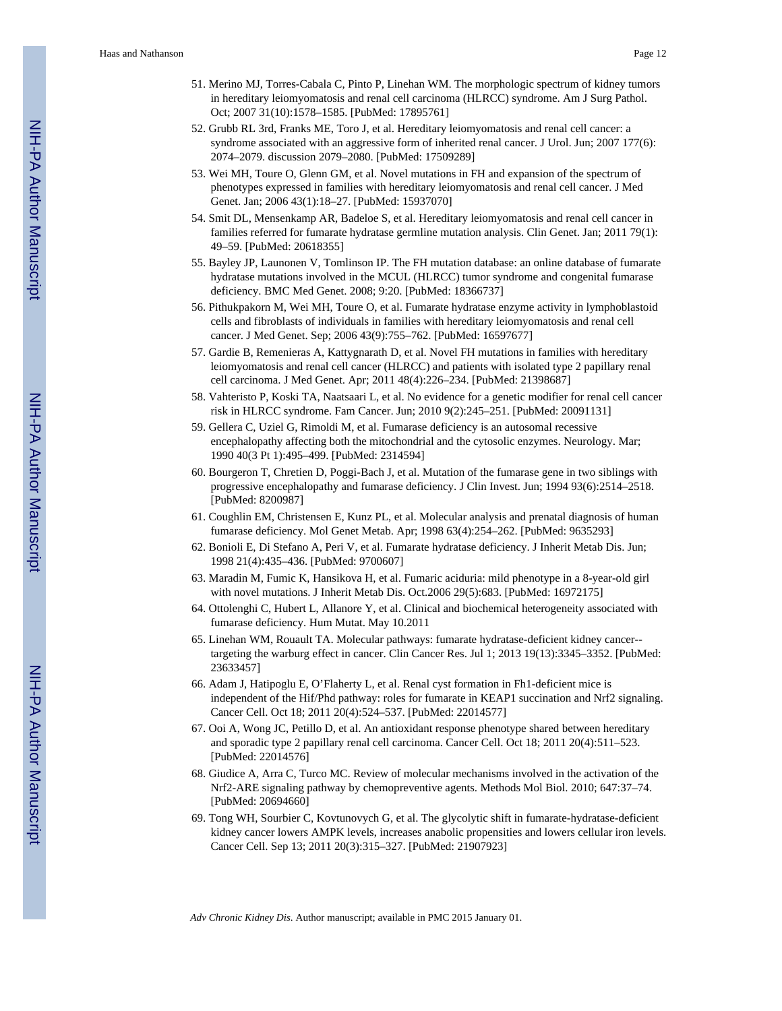- 51. Merino MJ, Torres-Cabala C, Pinto P, Linehan WM. The morphologic spectrum of kidney tumors in hereditary leiomyomatosis and renal cell carcinoma (HLRCC) syndrome. Am J Surg Pathol. Oct; 2007 31(10):1578–1585. [PubMed: 17895761]
- 52. Grubb RL 3rd, Franks ME, Toro J, et al. Hereditary leiomyomatosis and renal cell cancer: a syndrome associated with an aggressive form of inherited renal cancer. J Urol. Jun; 2007 177(6): 2074–2079. discussion 2079–2080. [PubMed: 17509289]
- 53. Wei MH, Toure O, Glenn GM, et al. Novel mutations in FH and expansion of the spectrum of phenotypes expressed in families with hereditary leiomyomatosis and renal cell cancer. J Med Genet. Jan; 2006 43(1):18–27. [PubMed: 15937070]
- 54. Smit DL, Mensenkamp AR, Badeloe S, et al. Hereditary leiomyomatosis and renal cell cancer in families referred for fumarate hydratase germline mutation analysis. Clin Genet. Jan; 2011 79(1): 49–59. [PubMed: 20618355]
- 55. Bayley JP, Launonen V, Tomlinson IP. The FH mutation database: an online database of fumarate hydratase mutations involved in the MCUL (HLRCC) tumor syndrome and congenital fumarase deficiency. BMC Med Genet. 2008; 9:20. [PubMed: 18366737]
- 56. Pithukpakorn M, Wei MH, Toure O, et al. Fumarate hydratase enzyme activity in lymphoblastoid cells and fibroblasts of individuals in families with hereditary leiomyomatosis and renal cell cancer. J Med Genet. Sep; 2006 43(9):755–762. [PubMed: 16597677]
- 57. Gardie B, Remenieras A, Kattygnarath D, et al. Novel FH mutations in families with hereditary leiomyomatosis and renal cell cancer (HLRCC) and patients with isolated type 2 papillary renal cell carcinoma. J Med Genet. Apr; 2011 48(4):226–234. [PubMed: 21398687]
- 58. Vahteristo P, Koski TA, Naatsaari L, et al. No evidence for a genetic modifier for renal cell cancer risk in HLRCC syndrome. Fam Cancer. Jun; 2010 9(2):245–251. [PubMed: 20091131]
- 59. Gellera C, Uziel G, Rimoldi M, et al. Fumarase deficiency is an autosomal recessive encephalopathy affecting both the mitochondrial and the cytosolic enzymes. Neurology. Mar; 1990 40(3 Pt 1):495–499. [PubMed: 2314594]
- 60. Bourgeron T, Chretien D, Poggi-Bach J, et al. Mutation of the fumarase gene in two siblings with progressive encephalopathy and fumarase deficiency. J Clin Invest. Jun; 1994 93(6):2514–2518. [PubMed: 8200987]
- 61. Coughlin EM, Christensen E, Kunz PL, et al. Molecular analysis and prenatal diagnosis of human fumarase deficiency. Mol Genet Metab. Apr; 1998 63(4):254–262. [PubMed: 9635293]
- 62. Bonioli E, Di Stefano A, Peri V, et al. Fumarate hydratase deficiency. J Inherit Metab Dis. Jun; 1998 21(4):435–436. [PubMed: 9700607]
- 63. Maradin M, Fumic K, Hansikova H, et al. Fumaric aciduria: mild phenotype in a 8-year-old girl with novel mutations. J Inherit Metab Dis. Oct.2006 29(5):683. [PubMed: 16972175]
- 64. Ottolenghi C, Hubert L, Allanore Y, et al. Clinical and biochemical heterogeneity associated with fumarase deficiency. Hum Mutat. May 10.2011
- 65. Linehan WM, Rouault TA. Molecular pathways: fumarate hydratase-deficient kidney cancer- targeting the warburg effect in cancer. Clin Cancer Res. Jul 1; 2013 19(13):3345–3352. [PubMed: 23633457]
- 66. Adam J, Hatipoglu E, O'Flaherty L, et al. Renal cyst formation in Fh1-deficient mice is independent of the Hif/Phd pathway: roles for fumarate in KEAP1 succination and Nrf2 signaling. Cancer Cell. Oct 18; 2011 20(4):524–537. [PubMed: 22014577]
- 67. Ooi A, Wong JC, Petillo D, et al. An antioxidant response phenotype shared between hereditary and sporadic type 2 papillary renal cell carcinoma. Cancer Cell. Oct 18; 2011 20(4):511–523. [PubMed: 22014576]
- 68. Giudice A, Arra C, Turco MC. Review of molecular mechanisms involved in the activation of the Nrf2-ARE signaling pathway by chemopreventive agents. Methods Mol Biol. 2010; 647:37–74. [PubMed: 20694660]
- 69. Tong WH, Sourbier C, Kovtunovych G, et al. The glycolytic shift in fumarate-hydratase-deficient kidney cancer lowers AMPK levels, increases anabolic propensities and lowers cellular iron levels. Cancer Cell. Sep 13; 2011 20(3):315–327. [PubMed: 21907923]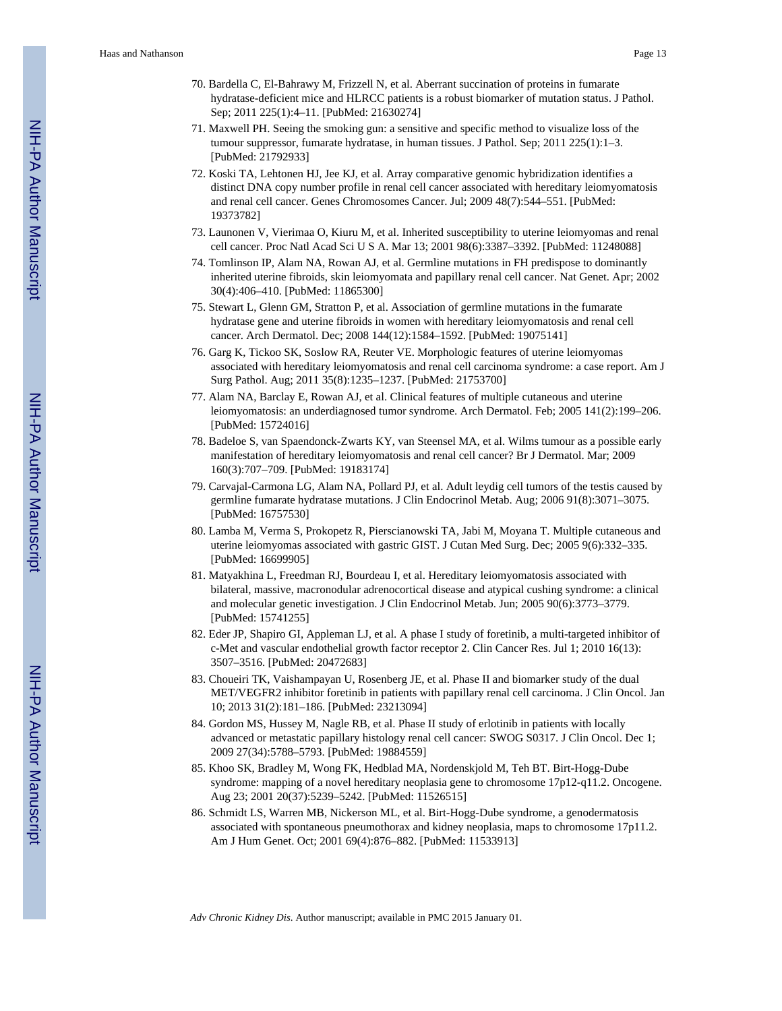- 70. Bardella C, El-Bahrawy M, Frizzell N, et al. Aberrant succination of proteins in fumarate hydratase-deficient mice and HLRCC patients is a robust biomarker of mutation status. J Pathol. Sep; 2011 225(1):4–11. [PubMed: 21630274]
- 71. Maxwell PH. Seeing the smoking gun: a sensitive and specific method to visualize loss of the tumour suppressor, fumarate hydratase, in human tissues. J Pathol. Sep; 2011 225(1):1–3. [PubMed: 21792933]
- 72. Koski TA, Lehtonen HJ, Jee KJ, et al. Array comparative genomic hybridization identifies a distinct DNA copy number profile in renal cell cancer associated with hereditary leiomyomatosis and renal cell cancer. Genes Chromosomes Cancer. Jul; 2009 48(7):544–551. [PubMed: 19373782]
- 73. Launonen V, Vierimaa O, Kiuru M, et al. Inherited susceptibility to uterine leiomyomas and renal cell cancer. Proc Natl Acad Sci U S A. Mar 13; 2001 98(6):3387–3392. [PubMed: 11248088]
- 74. Tomlinson IP, Alam NA, Rowan AJ, et al. Germline mutations in FH predispose to dominantly inherited uterine fibroids, skin leiomyomata and papillary renal cell cancer. Nat Genet. Apr; 2002 30(4):406–410. [PubMed: 11865300]
- 75. Stewart L, Glenn GM, Stratton P, et al. Association of germline mutations in the fumarate hydratase gene and uterine fibroids in women with hereditary leiomyomatosis and renal cell cancer. Arch Dermatol. Dec; 2008 144(12):1584–1592. [PubMed: 19075141]
- 76. Garg K, Tickoo SK, Soslow RA, Reuter VE. Morphologic features of uterine leiomyomas associated with hereditary leiomyomatosis and renal cell carcinoma syndrome: a case report. Am J Surg Pathol. Aug; 2011 35(8):1235–1237. [PubMed: 21753700]
- 77. Alam NA, Barclay E, Rowan AJ, et al. Clinical features of multiple cutaneous and uterine leiomyomatosis: an underdiagnosed tumor syndrome. Arch Dermatol. Feb; 2005 141(2):199–206. [PubMed: 15724016]
- 78. Badeloe S, van Spaendonck-Zwarts KY, van Steensel MA, et al. Wilms tumour as a possible early manifestation of hereditary leiomyomatosis and renal cell cancer? Br J Dermatol. Mar; 2009 160(3):707–709. [PubMed: 19183174]
- 79. Carvajal-Carmona LG, Alam NA, Pollard PJ, et al. Adult leydig cell tumors of the testis caused by germline fumarate hydratase mutations. J Clin Endocrinol Metab. Aug; 2006 91(8):3071–3075. [PubMed: 16757530]
- 80. Lamba M, Verma S, Prokopetz R, Pierscianowski TA, Jabi M, Moyana T. Multiple cutaneous and uterine leiomyomas associated with gastric GIST. J Cutan Med Surg. Dec; 2005 9(6):332–335. [PubMed: 16699905]
- 81. Matyakhina L, Freedman RJ, Bourdeau I, et al. Hereditary leiomyomatosis associated with bilateral, massive, macronodular adrenocortical disease and atypical cushing syndrome: a clinical and molecular genetic investigation. J Clin Endocrinol Metab. Jun; 2005 90(6):3773–3779. [PubMed: 15741255]
- 82. Eder JP, Shapiro GI, Appleman LJ, et al. A phase I study of foretinib, a multi-targeted inhibitor of c-Met and vascular endothelial growth factor receptor 2. Clin Cancer Res. Jul 1; 2010 16(13): 3507–3516. [PubMed: 20472683]
- 83. Choueiri TK, Vaishampayan U, Rosenberg JE, et al. Phase II and biomarker study of the dual MET/VEGFR2 inhibitor foretinib in patients with papillary renal cell carcinoma. J Clin Oncol. Jan 10; 2013 31(2):181–186. [PubMed: 23213094]
- 84. Gordon MS, Hussey M, Nagle RB, et al. Phase II study of erlotinib in patients with locally advanced or metastatic papillary histology renal cell cancer: SWOG S0317. J Clin Oncol. Dec 1; 2009 27(34):5788–5793. [PubMed: 19884559]
- 85. Khoo SK, Bradley M, Wong FK, Hedblad MA, Nordenskjold M, Teh BT. Birt-Hogg-Dube syndrome: mapping of a novel hereditary neoplasia gene to chromosome 17p12-q11.2. Oncogene. Aug 23; 2001 20(37):5239–5242. [PubMed: 11526515]
- 86. Schmidt LS, Warren MB, Nickerson ML, et al. Birt-Hogg-Dube syndrome, a genodermatosis associated with spontaneous pneumothorax and kidney neoplasia, maps to chromosome 17p11.2. Am J Hum Genet. Oct; 2001 69(4):876–882. [PubMed: 11533913]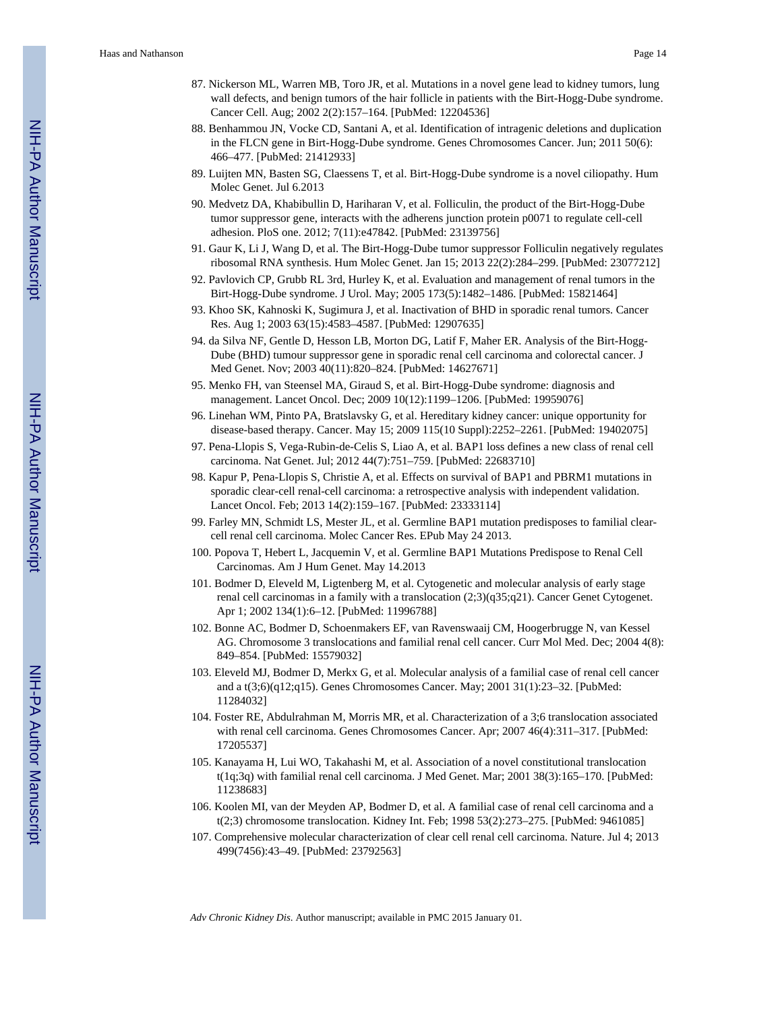- 87. Nickerson ML, Warren MB, Toro JR, et al. Mutations in a novel gene lead to kidney tumors, lung wall defects, and benign tumors of the hair follicle in patients with the Birt-Hogg-Dube syndrome. Cancer Cell. Aug; 2002 2(2):157–164. [PubMed: 12204536]
- 88. Benhammou JN, Vocke CD, Santani A, et al. Identification of intragenic deletions and duplication in the FLCN gene in Birt-Hogg-Dube syndrome. Genes Chromosomes Cancer. Jun; 2011 50(6): 466–477. [PubMed: 21412933]
- 89. Luijten MN, Basten SG, Claessens T, et al. Birt-Hogg-Dube syndrome is a novel ciliopathy. Hum Molec Genet. Jul 6.2013
- 90. Medvetz DA, Khabibullin D, Hariharan V, et al. Folliculin, the product of the Birt-Hogg-Dube tumor suppressor gene, interacts with the adherens junction protein p0071 to regulate cell-cell adhesion. PloS one. 2012; 7(11):e47842. [PubMed: 23139756]
- 91. Gaur K, Li J, Wang D, et al. The Birt-Hogg-Dube tumor suppressor Folliculin negatively regulates ribosomal RNA synthesis. Hum Molec Genet. Jan 15; 2013 22(2):284–299. [PubMed: 23077212]
- 92. Pavlovich CP, Grubb RL 3rd, Hurley K, et al. Evaluation and management of renal tumors in the Birt-Hogg-Dube syndrome. J Urol. May; 2005 173(5):1482–1486. [PubMed: 15821464]
- 93. Khoo SK, Kahnoski K, Sugimura J, et al. Inactivation of BHD in sporadic renal tumors. Cancer Res. Aug 1; 2003 63(15):4583–4587. [PubMed: 12907635]
- 94. da Silva NF, Gentle D, Hesson LB, Morton DG, Latif F, Maher ER. Analysis of the Birt-Hogg-Dube (BHD) tumour suppressor gene in sporadic renal cell carcinoma and colorectal cancer. J Med Genet. Nov; 2003 40(11):820–824. [PubMed: 14627671]
- 95. Menko FH, van Steensel MA, Giraud S, et al. Birt-Hogg-Dube syndrome: diagnosis and management. Lancet Oncol. Dec; 2009 10(12):1199–1206. [PubMed: 19959076]
- 96. Linehan WM, Pinto PA, Bratslavsky G, et al. Hereditary kidney cancer: unique opportunity for disease-based therapy. Cancer. May 15; 2009 115(10 Suppl):2252–2261. [PubMed: 19402075]
- 97. Pena-Llopis S, Vega-Rubin-de-Celis S, Liao A, et al. BAP1 loss defines a new class of renal cell carcinoma. Nat Genet. Jul; 2012 44(7):751–759. [PubMed: 22683710]
- 98. Kapur P, Pena-Llopis S, Christie A, et al. Effects on survival of BAP1 and PBRM1 mutations in sporadic clear-cell renal-cell carcinoma: a retrospective analysis with independent validation. Lancet Oncol. Feb; 2013 14(2):159–167. [PubMed: 23333114]
- 99. Farley MN, Schmidt LS, Mester JL, et al. Germline BAP1 mutation predisposes to familial clearcell renal cell carcinoma. Molec Cancer Res. EPub May 24 2013.
- 100. Popova T, Hebert L, Jacquemin V, et al. Germline BAP1 Mutations Predispose to Renal Cell Carcinomas. Am J Hum Genet. May 14.2013
- 101. Bodmer D, Eleveld M, Ligtenberg M, et al. Cytogenetic and molecular analysis of early stage renal cell carcinomas in a family with a translocation (2;3)(q35;q21). Cancer Genet Cytogenet. Apr 1; 2002 134(1):6–12. [PubMed: 11996788]
- 102. Bonne AC, Bodmer D, Schoenmakers EF, van Ravenswaaij CM, Hoogerbrugge N, van Kessel AG. Chromosome 3 translocations and familial renal cell cancer. Curr Mol Med. Dec; 2004 4(8): 849–854. [PubMed: 15579032]
- 103. Eleveld MJ, Bodmer D, Merkx G, et al. Molecular analysis of a familial case of renal cell cancer and a t(3;6)(q12;q15). Genes Chromosomes Cancer. May; 2001 31(1):23–32. [PubMed: 11284032]
- 104. Foster RE, Abdulrahman M, Morris MR, et al. Characterization of a 3;6 translocation associated with renal cell carcinoma. Genes Chromosomes Cancer. Apr; 2007 46(4):311–317. [PubMed: 17205537]
- 105. Kanayama H, Lui WO, Takahashi M, et al. Association of a novel constitutional translocation t(1q;3q) with familial renal cell carcinoma. J Med Genet. Mar; 2001 38(3):165–170. [PubMed: 11238683]
- 106. Koolen MI, van der Meyden AP, Bodmer D, et al. A familial case of renal cell carcinoma and a t(2;3) chromosome translocation. Kidney Int. Feb; 1998 53(2):273–275. [PubMed: 9461085]
- 107. Comprehensive molecular characterization of clear cell renal cell carcinoma. Nature. Jul 4; 2013 499(7456):43–49. [PubMed: 23792563]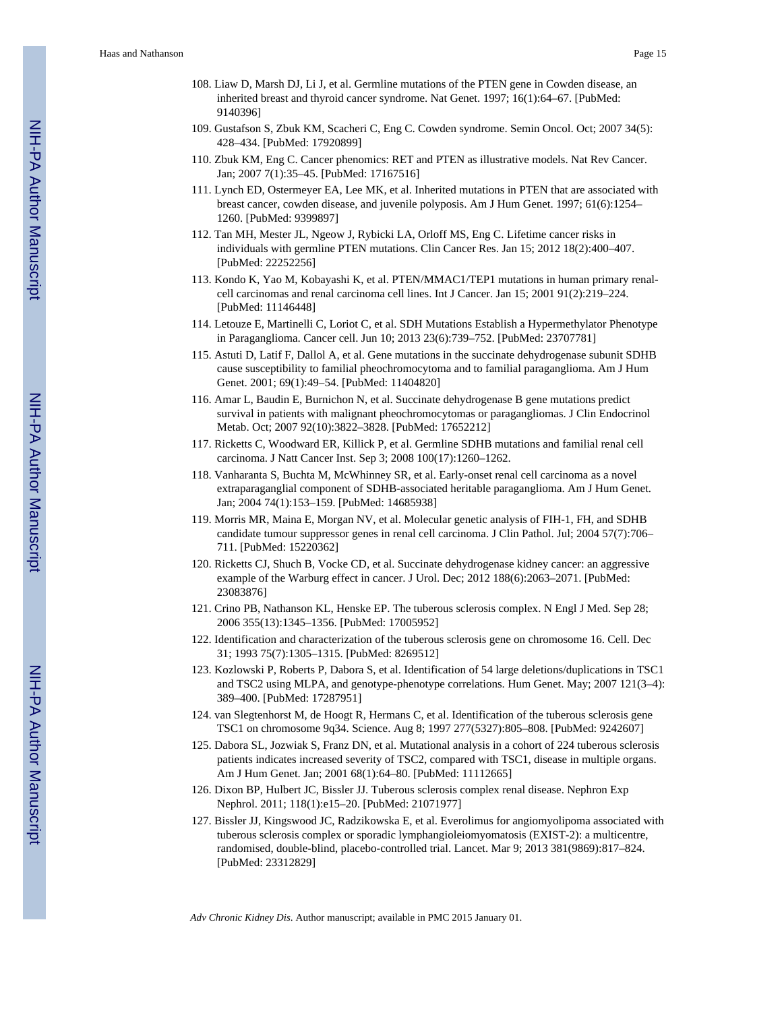- 108. Liaw D, Marsh DJ, Li J, et al. Germline mutations of the PTEN gene in Cowden disease, an inherited breast and thyroid cancer syndrome. Nat Genet. 1997; 16(1):64–67. [PubMed: 9140396]
- 109. Gustafson S, Zbuk KM, Scacheri C, Eng C. Cowden syndrome. Semin Oncol. Oct; 2007 34(5): 428–434. [PubMed: 17920899]
- 110. Zbuk KM, Eng C. Cancer phenomics: RET and PTEN as illustrative models. Nat Rev Cancer. Jan; 2007 7(1):35–45. [PubMed: 17167516]
- 111. Lynch ED, Ostermeyer EA, Lee MK, et al. Inherited mutations in PTEN that are associated with breast cancer, cowden disease, and juvenile polyposis. Am J Hum Genet. 1997; 61(6):1254– 1260. [PubMed: 9399897]
- 112. Tan MH, Mester JL, Ngeow J, Rybicki LA, Orloff MS, Eng C. Lifetime cancer risks in individuals with germline PTEN mutations. Clin Cancer Res. Jan 15; 2012 18(2):400–407. [PubMed: 22252256]
- 113. Kondo K, Yao M, Kobayashi K, et al. PTEN/MMAC1/TEP1 mutations in human primary renalcell carcinomas and renal carcinoma cell lines. Int J Cancer. Jan 15; 2001 91(2):219–224. [PubMed: 11146448]
- 114. Letouze E, Martinelli C, Loriot C, et al. SDH Mutations Establish a Hypermethylator Phenotype in Paraganglioma. Cancer cell. Jun 10; 2013 23(6):739–752. [PubMed: 23707781]
- 115. Astuti D, Latif F, Dallol A, et al. Gene mutations in the succinate dehydrogenase subunit SDHB cause susceptibility to familial pheochromocytoma and to familial paraganglioma. Am J Hum Genet. 2001; 69(1):49–54. [PubMed: 11404820]
- 116. Amar L, Baudin E, Burnichon N, et al. Succinate dehydrogenase B gene mutations predict survival in patients with malignant pheochromocytomas or paragangliomas. J Clin Endocrinol Metab. Oct; 2007 92(10):3822–3828. [PubMed: 17652212]
- 117. Ricketts C, Woodward ER, Killick P, et al. Germline SDHB mutations and familial renal cell carcinoma. J Natt Cancer Inst. Sep 3; 2008 100(17):1260–1262.
- 118. Vanharanta S, Buchta M, McWhinney SR, et al. Early-onset renal cell carcinoma as a novel extraparaganglial component of SDHB-associated heritable paraganglioma. Am J Hum Genet. Jan; 2004 74(1):153–159. [PubMed: 14685938]
- 119. Morris MR, Maina E, Morgan NV, et al. Molecular genetic analysis of FIH-1, FH, and SDHB candidate tumour suppressor genes in renal cell carcinoma. J Clin Pathol. Jul; 2004 57(7):706– 711. [PubMed: 15220362]
- 120. Ricketts CJ, Shuch B, Vocke CD, et al. Succinate dehydrogenase kidney cancer: an aggressive example of the Warburg effect in cancer. J Urol. Dec; 2012 188(6):2063–2071. [PubMed: 23083876]
- 121. Crino PB, Nathanson KL, Henske EP. The tuberous sclerosis complex. N Engl J Med. Sep 28; 2006 355(13):1345–1356. [PubMed: 17005952]
- 122. Identification and characterization of the tuberous sclerosis gene on chromosome 16. Cell. Dec 31; 1993 75(7):1305–1315. [PubMed: 8269512]
- 123. Kozlowski P, Roberts P, Dabora S, et al. Identification of 54 large deletions/duplications in TSC1 and TSC2 using MLPA, and genotype-phenotype correlations. Hum Genet. May; 2007 121(3–4): 389–400. [PubMed: 17287951]
- 124. van Slegtenhorst M, de Hoogt R, Hermans C, et al. Identification of the tuberous sclerosis gene TSC1 on chromosome 9q34. Science. Aug 8; 1997 277(5327):805–808. [PubMed: 9242607]
- 125. Dabora SL, Jozwiak S, Franz DN, et al. Mutational analysis in a cohort of 224 tuberous sclerosis patients indicates increased severity of TSC2, compared with TSC1, disease in multiple organs. Am J Hum Genet. Jan; 2001 68(1):64–80. [PubMed: 11112665]
- 126. Dixon BP, Hulbert JC, Bissler JJ. Tuberous sclerosis complex renal disease. Nephron Exp Nephrol. 2011; 118(1):e15–20. [PubMed: 21071977]
- 127. Bissler JJ, Kingswood JC, Radzikowska E, et al. Everolimus for angiomyolipoma associated with tuberous sclerosis complex or sporadic lymphangioleiomyomatosis (EXIST-2): a multicentre, randomised, double-blind, placebo-controlled trial. Lancet. Mar 9; 2013 381(9869):817–824. [PubMed: 23312829]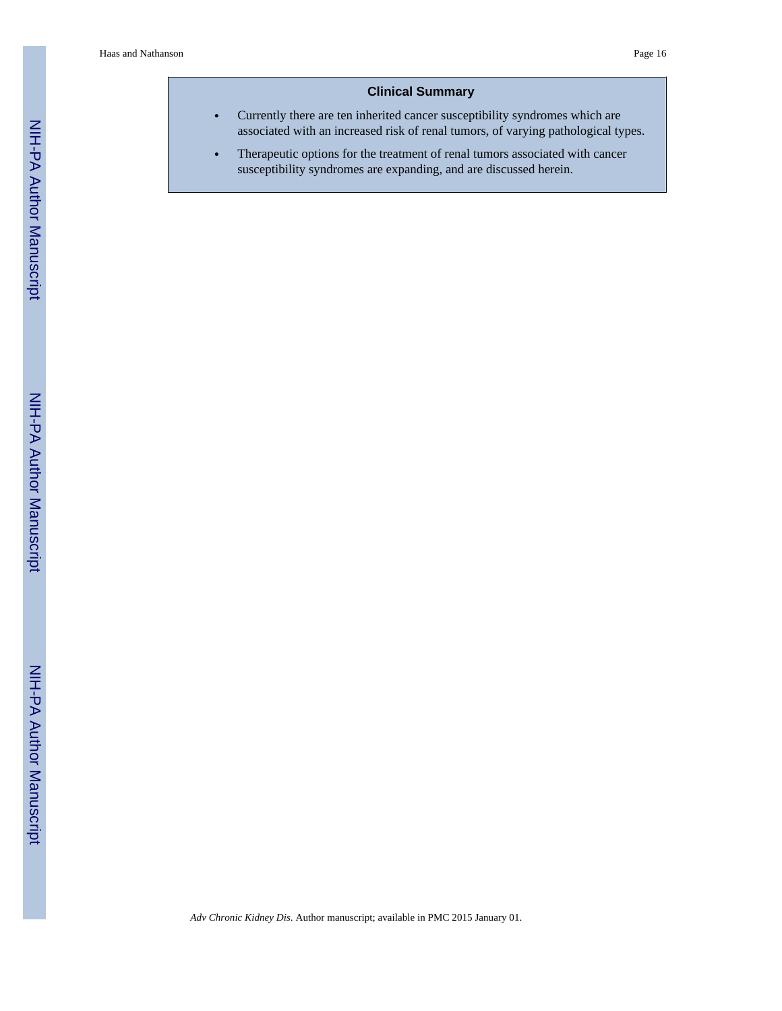#### **Clinical Summary**

- **•** Currently there are ten inherited cancer susceptibility syndromes which are associated with an increased risk of renal tumors, of varying pathological types.
- **•** Therapeutic options for the treatment of renal tumors associated with cancer susceptibility syndromes are expanding, and are discussed herein.